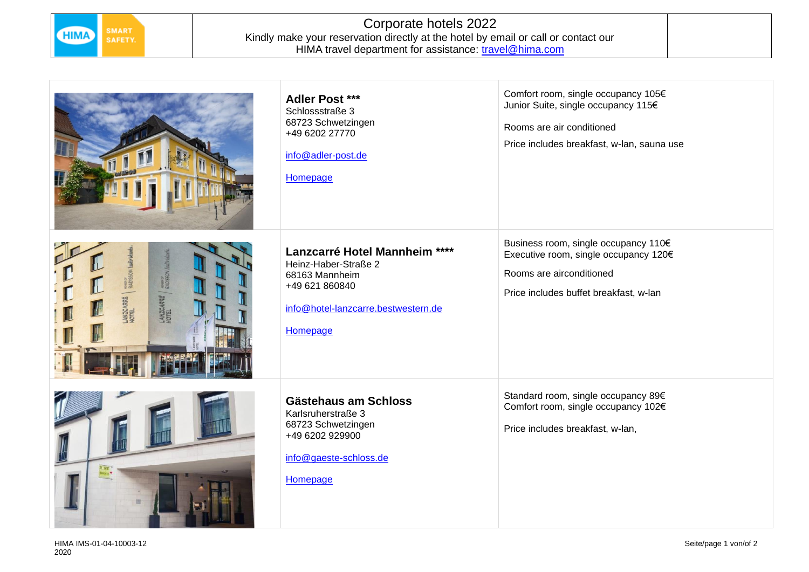

## Corporate hotels 2022 Kindly make your reservation directly at the hotel by email or call or contact our HIMA travel department for assistance: <u>travel@hima.com</u>

|                                                          | <b>Adler Post ***</b><br>Schlossstraße 3<br>68723 Schwetzingen<br>+49 6202 27770<br>info@adler-post.de<br>Homepage                           | Comfort room, single occupancy 105€<br>Junior Suite, single occupancy 115€<br>Rooms are air conditioned<br>Price includes breakfast, w-lan, sauna use |
|----------------------------------------------------------|----------------------------------------------------------------------------------------------------------------------------------------------|-------------------------------------------------------------------------------------------------------------------------------------------------------|
| <b>RADISSO</b><br><b>RADIS</b><br>LANZCARRÉ<br>LANZCARRE | Lanzcarré Hotel Mannheim ****<br>Heinz-Haber-Straße 2<br>68163 Mannheim<br>+49 621 860840<br>info@hotel-lanzcarre.bestwestern.de<br>Homepage | Business room, single occupancy 110€<br>Executive room, single occupancy 120€<br>Rooms are airconditioned<br>Price includes buffet breakfast, w-lan   |
|                                                          | Gästehaus am Schloss<br>Karlsruherstraße 3<br>68723 Schwetzingen<br>+49 6202 929900<br>info@gaeste-schloss.de<br>Homepage                    | Standard room, single occupancy 89€<br>Comfort room, single occupancy 102€<br>Price includes breakfast, w-lan,                                        |